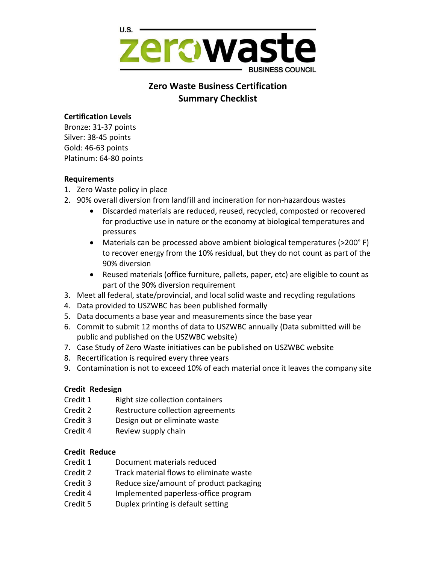

# **Zero Waste Business Certification Summary Checklist**

### **Certification Levels**

Bronze: 31-37 points Silver: 38-45 points Gold: 46-63 points Platinum: 64-80 points

### **Requirements**

- 1. Zero Waste policy in place
- 2. 90% overall diversion from landfill and incineration for non-hazardous wastes
	- Discarded materials are reduced, reused, recycled, composted or recovered for productive use in nature or the economy at biological temperatures and pressures
	- Materials can be processed above ambient biological temperatures (>200° F) to recover energy from the 10% residual, but they do not count as part of the 90% diversion
	- Reused materials (office furniture, pallets, paper, etc) are eligible to count as part of the 90% diversion requirement
- 3. Meet all federal, state/provincial, and local solid waste and recycling regulations
- 4. Data provided to USZWBC has been published formally
- 5. Data documents a base year and measurements since the base year
- 6. Commit to submit 12 months of data to USZWBC annually (Data submitted will be public and published on the USZWBC website)
- 7. Case Study of Zero Waste initiatives can be published on USZWBC website
- 8. Recertification is required every three years
- 9. Contamination is not to exceed 10% of each material once it leaves the company site

# **Credit Redesign**

- Credit 1 Right size collection containers
- Credit 2 Restructure collection agreements
- Credit 3 Design out or eliminate waste
- Credit 4 Review supply chain

# **Credit Reduce**

- Credit 1 Document materials reduced
- Credit 2 Track material flows to eliminate waste
- Credit 3 Reduce size/amount of product packaging
- Credit 4 Implemented paperless-office program
- Credit 5 Duplex printing is default setting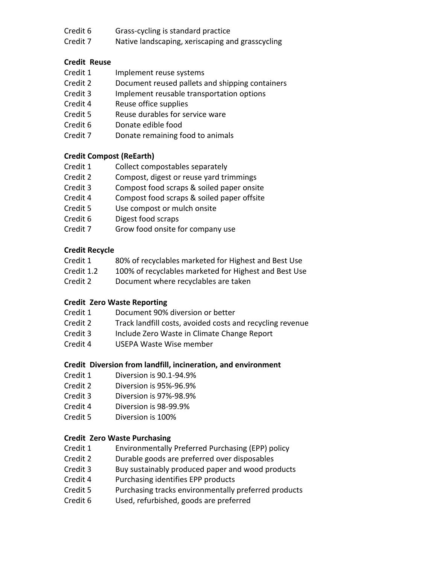- Credit 6 Grass-cycling is standard practice
- Credit 7 Native landscaping, xeriscaping and grasscycling

# **Credit Reuse**

- Credit 1 Implement reuse systems
- Credit 2 Document reused pallets and shipping containers
- Credit 3 Implement reusable transportation options
- Credit 4 Reuse office supplies
- Credit 5 Reuse durables for service ware
- Credit 6 Donate edible food
- Credit 7 Donate remaining food to animals

# **Credit Compost (ReEarth)**

- Credit 1 Collect compostables separately
- Credit 2 Compost, digest or reuse yard trimmings
- Credit 3 Compost food scraps & soiled paper onsite
- Credit 4 Compost food scraps & soiled paper offsite
- Credit 5 Use compost or mulch onsite
- Credit 6 Digest food scraps
- Credit 7 Grow food onsite for company use

### **Credit Recycle**

- Credit 1 80% of recyclables marketed for Highest and Best Use
- Credit 1.2 100% of recyclables marketed for Highest and Best Use
- Credit 2 Document where recyclables are taken

# **Credit Zero Waste Reporting**

- Credit 1 Document 90% diversion or better
- Credit 2 Track landfill costs, avoided costs and recycling revenue
- Credit 3 Include Zero Waste in Climate Change Report
- Credit 4 USEPA Waste Wise member

#### **Credit Diversion from landfill, incineration, and environment**

- Credit 1 Diversion is 90.1-94.9%
- Credit 2 Diversion is 95%-96.9%
- Credit 3 Diversion is 97%-98.9%
- Credit 4 Diversion is 98-99.9%
- Credit 5 Diversion is 100%

# **Credit Zero Waste Purchasing**

- Credit 1 Environmentally Preferred Purchasing (EPP) policy
- Credit 2 Durable goods are preferred over disposables
- Credit 3 Buy sustainably produced paper and wood products
- Credit 4 Purchasing identifies EPP products
- Credit 5 Purchasing tracks environmentally preferred products
- Credit 6 Used, refurbished, goods are preferred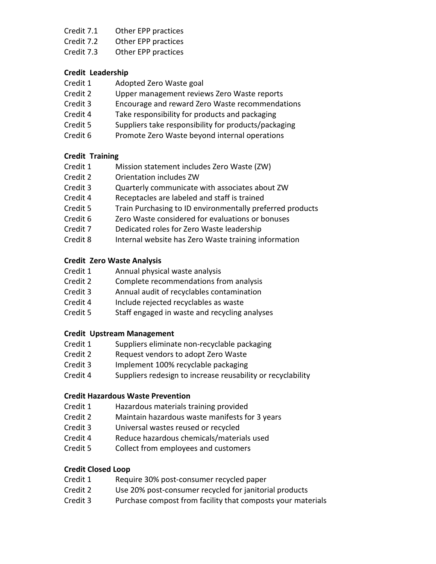- Credit 7.1 Other EPP practices
- Credit 7.2 Other EPP practices
- Credit 7.3 Other EPP practices

### **Credit Leadership**

- Credit 1 Adopted Zero Waste goal
- Credit 2 Upper management reviews Zero Waste reports
- Credit 3 Encourage and reward Zero Waste recommendations
- Credit 4 Take responsibility for products and packaging
- Credit 5 Suppliers take responsibility for products/packaging
- Credit 6 Promote Zero Waste beyond internal operations

# **Credit Training**

- Credit 1 Mission statement includes Zero Waste (ZW)
- Credit 2 Orientation includes ZW
- Credit 3 Quarterly communicate with associates about ZW
- Credit 4 Receptacles are labeled and staff is trained
- Credit 5 Train Purchasing to ID environmentally preferred products
- Credit 6 Zero Waste considered for evaluations or bonuses
- Credit 7 Dedicated roles for Zero Waste leadership
- Credit 8 Internal website has Zero Waste training information

# **Credit Zero Waste Analysis**

- Credit 1 Annual physical waste analysis
- Credit 2 Complete recommendations from analysis
- Credit 3 Annual audit of recyclables contamination
- Credit 4 Include rejected recyclables as waste
- Credit 5 Staff engaged in waste and recycling analyses

# **Credit Upstream Management**

- Credit 1 Suppliers eliminate non-recyclable packaging
- Credit 2 Request vendors to adopt Zero Waste
- Credit 3 Implement 100% recyclable packaging
- Credit 4 Suppliers redesign to increase reusability or recyclability

# **Credit Hazardous Waste Prevention**

- Credit 1 Hazardous materials training provided
- Credit 2 Maintain hazardous waste manifests for 3 years
- Credit 3 Universal wastes reused or recycled
- Credit 4 Reduce hazardous chemicals/materials used
- Credit 5 Collect from employees and customers

# **Credit Closed Loop**

- Credit 1 Require 30% post-consumer recycled paper
- Credit 2 Use 20% post-consumer recycled for janitorial products
- Credit 3 Purchase compost from facility that composts your materials